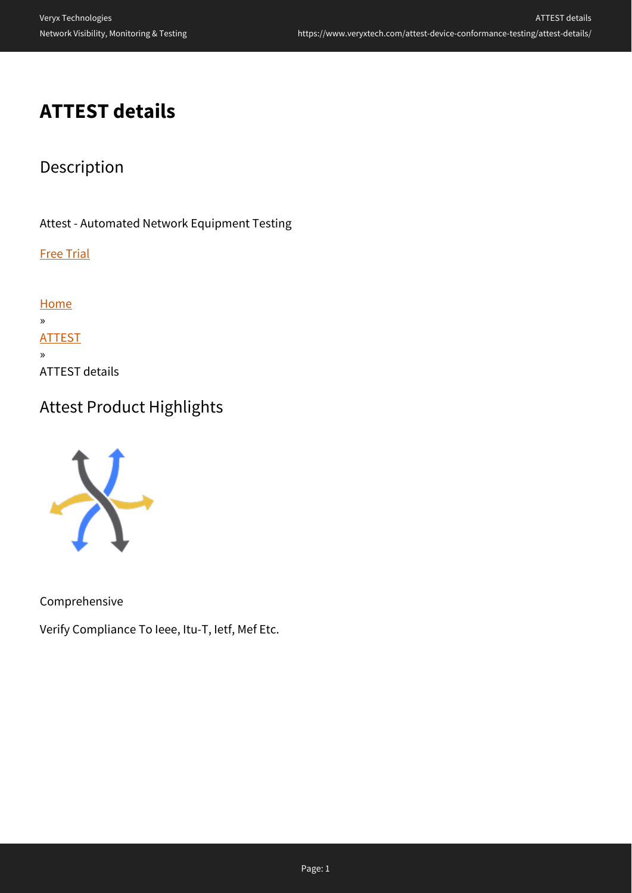# **ATTEST details**

## Description

Attest - Automated Network Equipment Testing

Free Trial

[Home](https://www.veryxtech.com) » **[ATTEST](https://www.veryxtech.com/attest-device-conformance-testing/)** » ATTEST details

## Attest Product Highlights



Comprehensive

Verify Compliance To Ieee, Itu-T, Ietf, Mef Etc.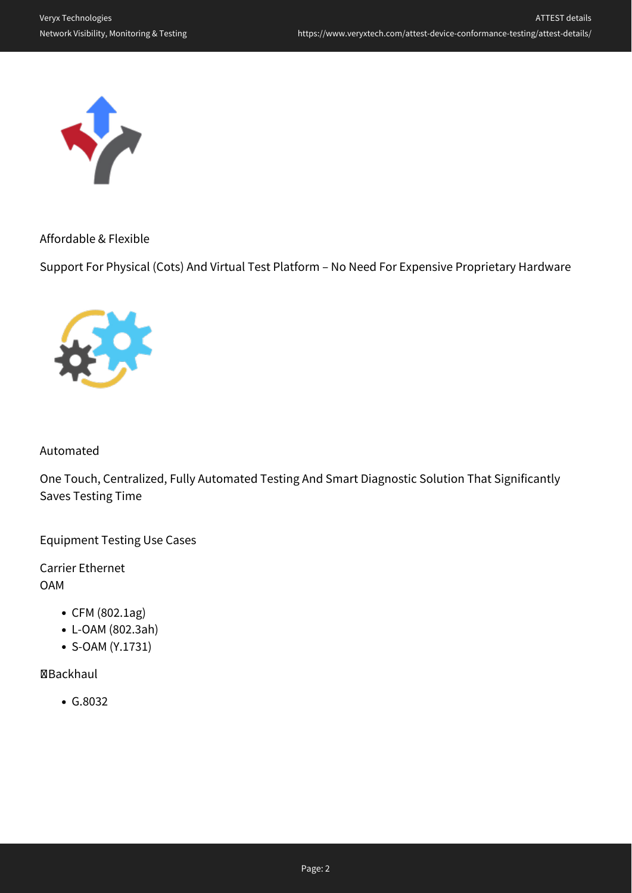

Affordable & Flexible

Support For Physical (Cots) And Virtual Test Platform – No Need For Expensive Proprietary Hardware



### Automated

One Touch, Centralized, Fully Automated Testing And Smart Diagnostic Solution That Significantly Saves Testing Time

Equipment Testing Use Cases

Carrier Ethernet OAM

- CFM (802.1ag)
- L-OAM (802.3ah)
- S-OAM (Y.1731)

### Backhaul

G.8032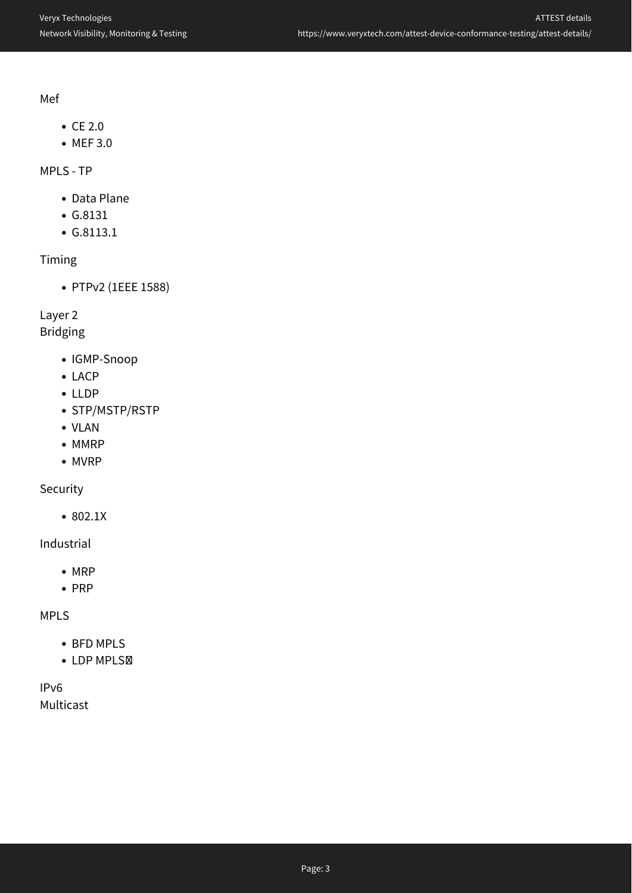Mef

- $\bullet$  CE 2.0
- MEF 3.0

### MPLS - TP

- Data Plane
- G.8131
- G.8113.1

### Timing

PTPv2 (1EEE 1588)

### Layer 2

### Bridging

- IGMP-Snoop
- LACP
- LLDP
- STP/MSTP/RSTP
- VLAN
- MMRP
- MVRP

### Security

802.1X

### Industrial

- $\bullet$  MRP
- $\cdot$  PRP

### MPLS

- BFD MPLS
- LDP MPLSM

### IPv6 Multicast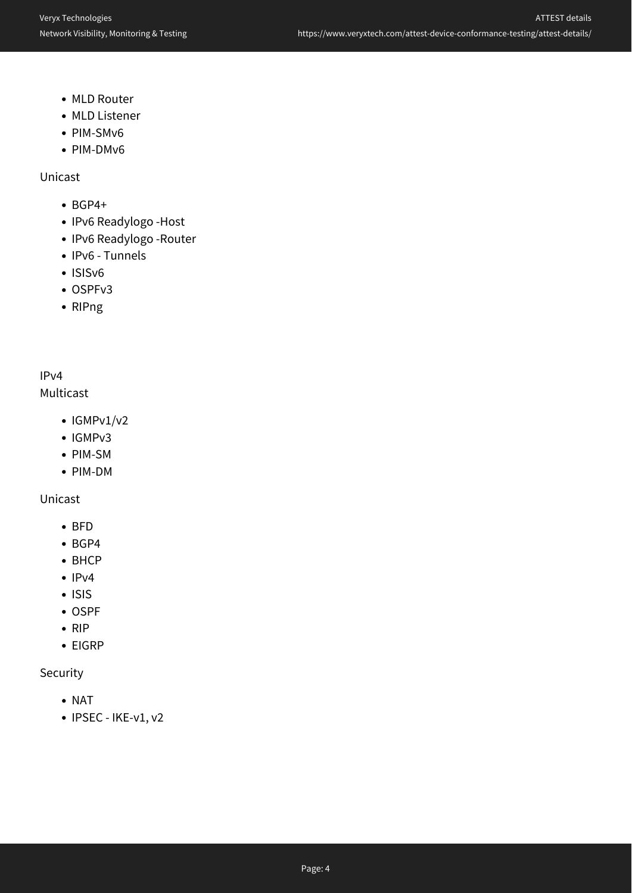- MLD Router
- MLD Listener
- PIM-SMv6
- PIM-DMv6

Unicast

- $\cdot$  BGP4+
- IPv6 Readylogo -Host
- IPv6 Readylogo -Router
- IPv6 Tunnels
- ISISv6
- OSPFv3
- RIPng

### IPv4

#### Multicast

- $\bullet$  IGMPv1/v2
- IGMPv3
- PIM-SM
- PIM-DM

#### Unicast

- BFD
- BGP4
- BHCP
- $\cdot$  IPv4
- ISIS
- OSPF
- $\bullet$  RIP
- EIGRP

### Security

- NAT
- $\bullet$  IPSEC IKE-v1, v2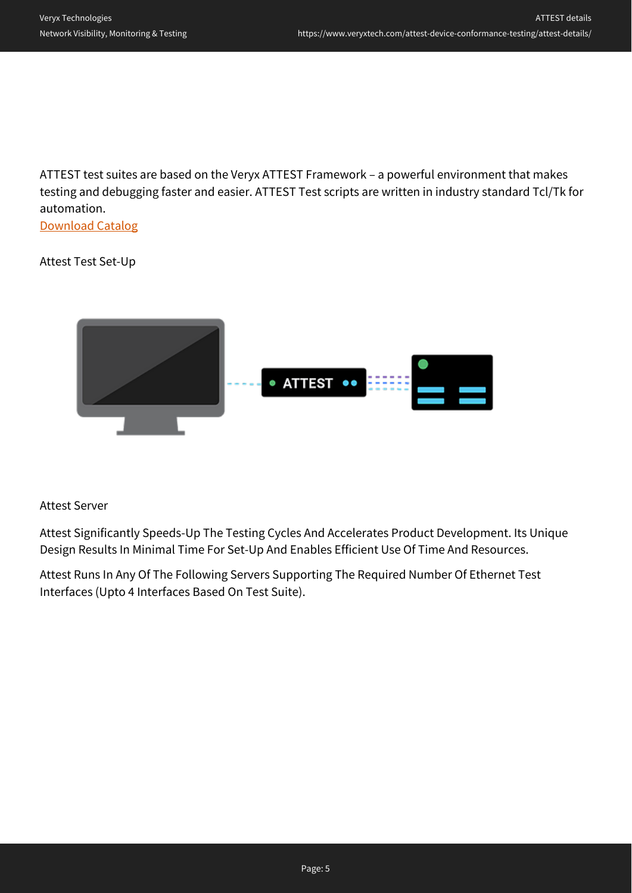ATTEST test suites are based on the Veryx ATTEST Framework – a powerful environment that makes testing and debugging faster and easier. ATTEST Test scripts are written in industry standard Tcl/Tk for automation.

[Download Catalog](https://www.veryxtech.com/#contact)

#### Attest Test Set-Up



#### Attest Server

Attest Significantly Speeds-Up The Testing Cycles And Accelerates Product Development. Its Unique Design Results In Minimal Time For Set-Up And Enables Efficient Use Of Time And Resources.

Attest Runs In Any Of The Following Servers Supporting The Required Number Of Ethernet Test Interfaces (Upto 4 Interfaces Based On Test Suite).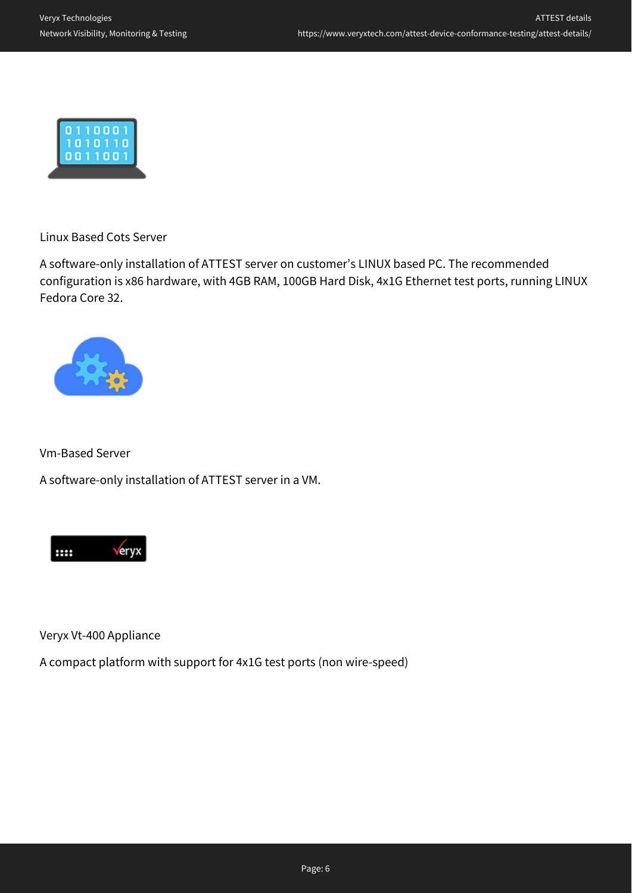

Linux Based Cots Server

A software-only installation of ATTEST server on customer's LINUX based PC. The recommended configuration is x86 hardware, with 4GB RAM, 100GB Hard Disk, 4x1G Ethernet test ports, running LINUX Fedora Core 32.



Vm-Based Server

A software-only installation of ATTEST server in a VM.



Veryx Vt-400 Appliance

A compact platform with support for 4x1G test ports (non wire-speed)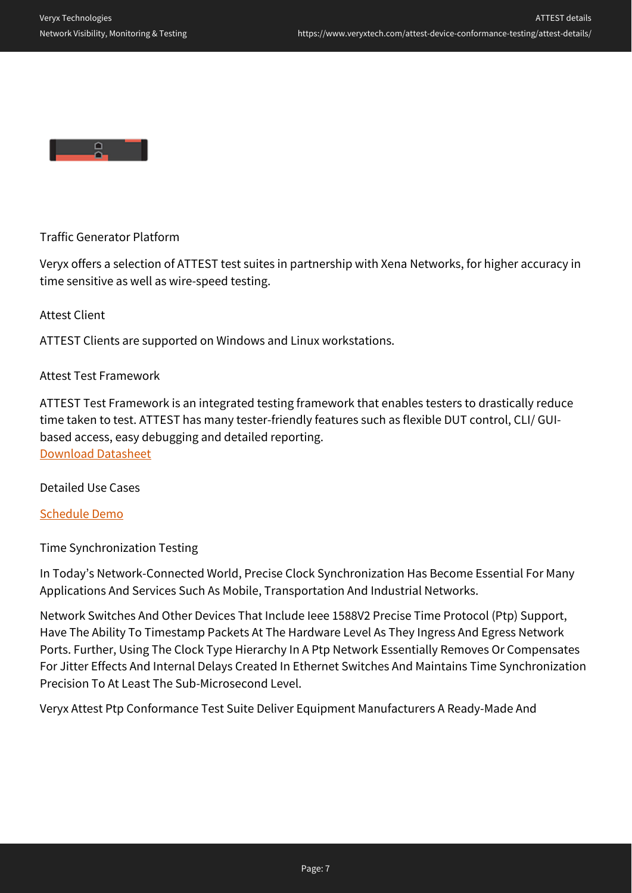

Traffic Generator Platform

Veryx offers a selection of ATTEST test suites in partnership with Xena Networks, for higher accuracy in time sensitive as well as wire-speed testing.

Attest Client

ATTEST Clients are supported on Windows and Linux workstations.

#### Attest Test Framework

ATTEST Test Framework is an integrated testing framework that enables testers to drastically reduce time taken to test. ATTEST has many tester-friendly features such as flexible DUT control, CLI/ GUIbased access, easy debugging and detailed reporting. [Download Datasheet](https://www.veryxtech.com/#contact)

Detailed Use Cases

[Schedule Demo](https://www.veryxtech.com/#contact)

Time Synchronization Testing

In Today's Network-Connected World, Precise Clock Synchronization Has Become Essential For Many Applications And Services Such As Mobile, Transportation And Industrial Networks.

Network Switches And Other Devices That Include Ieee 1588V2 Precise Time Protocol (Ptp) Support, Have The Ability To Timestamp Packets At The Hardware Level As They Ingress And Egress Network Ports. Further, Using The Clock Type Hierarchy In A Ptp Network Essentially Removes Or Compensates For Jitter Effects And Internal Delays Created In Ethernet Switches And Maintains Time Synchronization Precision To At Least The Sub-Microsecond Level.

Veryx Attest Ptp Conformance Test Suite Deliver Equipment Manufacturers A Ready-Made And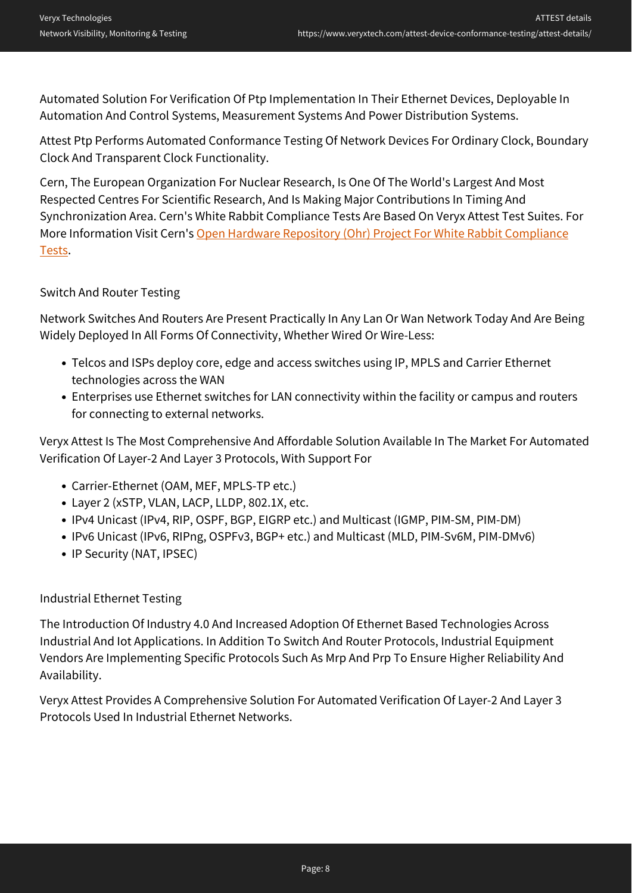Automated Solution For Verification Of Ptp Implementation In Their Ethernet Devices, Deployable In Automation And Control Systems, Measurement Systems And Power Distribution Systems.

Attest Ptp Performs Automated Conformance Testing Of Network Devices For Ordinary Clock, Boundary Clock And Transparent Clock Functionality.

Cern, The European Organization For Nuclear Research, Is One Of The World's Largest And Most Respected Centres For Scientific Research, And Is Making Major Contributions In Timing And Synchronization Area. Cern's White Rabbit Compliance Tests Are Based On Veryx Attest Test Suites. For More Information Visit Cern's [Open Hardware Repository \(Ohr\) Project For White Rabbit Compliance](https://ohwr.org/project/wr-compliance-tests/wikis/home) [Tests.](https://ohwr.org/project/wr-compliance-tests/wikis/home)

### Switch And Router Testing

Network Switches And Routers Are Present Practically In Any Lan Or Wan Network Today And Are Being Widely Deployed In All Forms Of Connectivity, Whether Wired Or Wire-Less:

- Telcos and ISPs deploy core, edge and access switches using IP, MPLS and Carrier Ethernet technologies across the WAN
- Enterprises use Ethernet switches for LAN connectivity within the facility or campus and routers for connecting to external networks.

Veryx Attest Is The Most Comprehensive And Affordable Solution Available In The Market For Automated Verification Of Layer-2 And Layer 3 Protocols, With Support For

- Carrier-Ethernet (OAM, MEF, MPLS-TP etc.)
- Layer 2 (xSTP, VLAN, LACP, LLDP, 802.1X, etc.
- IPv4 Unicast (IPv4, RIP, OSPF, BGP, EIGRP etc.) and Multicast (IGMP, PIM-SM, PIM-DM)
- IPv6 Unicast (IPv6, RIPng, OSPFv3, BGP+ etc.) and Multicast (MLD, PIM-Sv6M, PIM-DMv6)
- IP Security (NAT, IPSEC)

### Industrial Ethernet Testing

The Introduction Of Industry 4.0 And Increased Adoption Of Ethernet Based Technologies Across Industrial And Iot Applications. In Addition To Switch And Router Protocols, Industrial Equipment Vendors Are Implementing Specific Protocols Such As Mrp And Prp To Ensure Higher Reliability And Availability.

Veryx Attest Provides A Comprehensive Solution For Automated Verification Of Layer-2 And Layer 3 Protocols Used In Industrial Ethernet Networks.